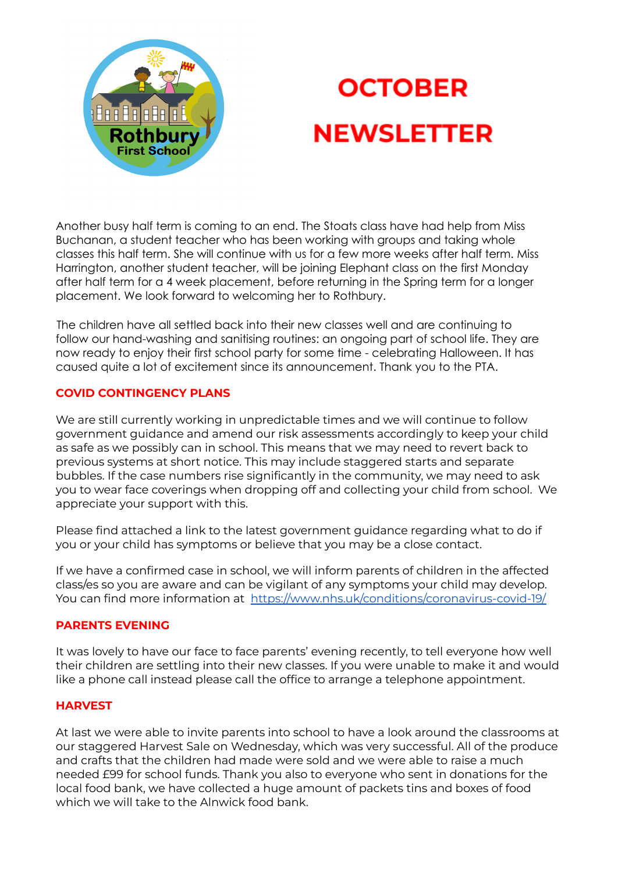

# **OCTOBER NEWSLETTER**

Another busy half term is coming to an end. The Stoats class have had help from Miss Buchanan, a student teacher who has been working with groups and taking whole classes this half term. She will continue with us for a few more weeks after half term. Miss Harrington, another student teacher, will be joining Elephant class on the first Monday after half term for a 4 week placement, before returning in the Spring term for a longer placement. We look forward to welcoming her to Rothbury.

The children have all settled back into their new classes well and are continuing to follow our hand-washing and sanitising routines: an ongoing part of school life. They are now ready to enjoy their first school party for some time - celebrating Halloween. It has caused quite a lot of excitement since its announcement. Thank you to the PTA.

## **COVID CONTINGENCY PLANS**

We are still currently working in unpredictable times and we will continue to follow government guidance and amend our risk assessments accordingly to keep your child as safe as we possibly can in school. This means that we may need to revert back to previous systems at short notice. This may include staggered starts and separate bubbles. If the case numbers rise significantly in the community, we may need to ask you to wear face coverings when dropping off and collecting your child from school. We appreciate your support with this.

Please find attached a link to the latest government guidance regarding what to do if you or your child has symptoms or believe that you may be a close contact.

If we have a confirmed case in school, we will inform parents of children in the affected class/es so you are aware and can be vigilant of any symptoms your child may develop. You can find more information at <https://www.nhs.uk/conditions/coronavirus-covid-19/>

### **PARENTS EVENING**

It was lovely to have our face to face parents' evening recently, to tell everyone how well their children are settling into their new classes. If you were unable to make it and would like a phone call instead please call the office to arrange a telephone appointment.

### **HARVEST**

At last we were able to invite parents into school to have a look around the classrooms at our staggered Harvest Sale on Wednesday, which was very successful. All of the produce and crafts that the children had made were sold and we were able to raise a much needed £99 for school funds. Thank you also to everyone who sent in donations for the local food bank, we have collected a huge amount of packets tins and boxes of food which we will take to the Alnwick food bank.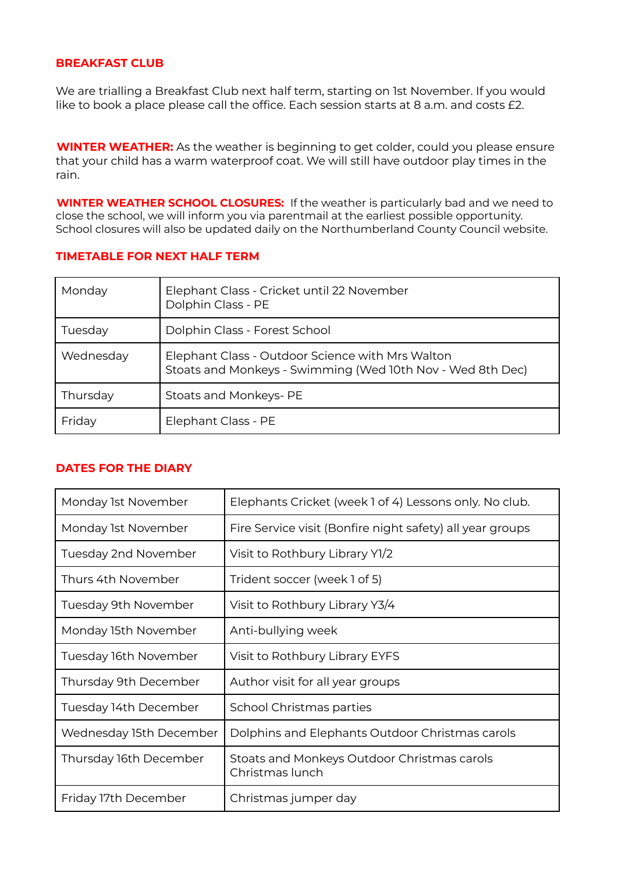### **BREAKFAST CLUB**

We are trialling a Breakfast Club next half term, starting on 1st November. If you would like to book a place please call the office. Each session starts at 8 a.m. and costs £2.

**WINTER WEATHER:** As the weather is beginning to get colder, could you please ensure that your child has a warm waterproof coat. We will still have outdoor play times in the rain.

**WINTER WEATHER SCHOOL CLOSURES:** If the weather is particularly bad and we need to close the school, we will inform you via parentmail at the earliest possible opportunity. School closures will also be updated daily on the Northumberland County Council website.

#### **TIMETABLE FOR NEXT HALF TERM**

| Monday    | Elephant Class - Cricket until 22 November<br>Dolphin Class - PE                                               |
|-----------|----------------------------------------------------------------------------------------------------------------|
| Tuesday   | Dolphin Class - Forest School                                                                                  |
| Wednesday | Elephant Class - Outdoor Science with Mrs Walton<br>Stoats and Monkeys - Swimming (Wed 10th Nov - Wed 8th Dec) |
| Thursday  | Stoats and Monkeys- PE                                                                                         |
| Friday    | Elephant Class - PE                                                                                            |

#### **DATES FOR THE DIARY**

| Monday 1st November     | Elephants Cricket (week 1 of 4) Lessons only. No club.         |
|-------------------------|----------------------------------------------------------------|
| Monday 1st November     | Fire Service visit (Bonfire night safety) all year groups      |
| Tuesday 2nd November    | Visit to Rothbury Library Y1/2                                 |
| Thurs 4th November      | Trident soccer (week 1 of 5)                                   |
| Tuesday 9th November    | Visit to Rothbury Library Y3/4                                 |
| Monday 15th November    | Anti-bullying week                                             |
| Tuesday 16th November   | Visit to Rothbury Library EYFS                                 |
| Thursday 9th December   | Author visit for all year groups                               |
| Tuesday 14th December   | School Christmas parties                                       |
| Wednesday 15th December | Dolphins and Elephants Outdoor Christmas carols                |
| Thursday 16th December  | Stoats and Monkeys Outdoor Christmas carols<br>Christmas lunch |
| Friday 17th December    | Christmas jumper day                                           |